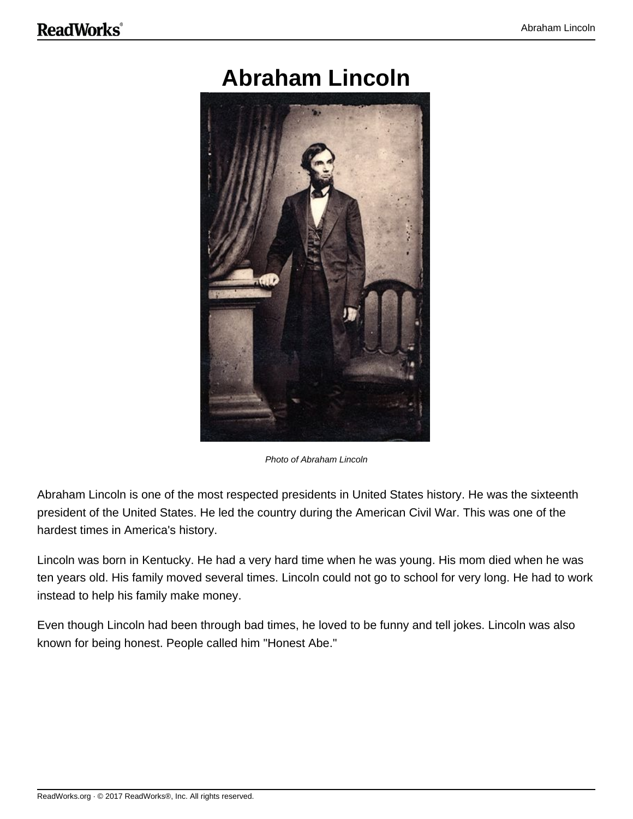## **Abraham Lincoln**



Photo of Abraham Lincoln

Abraham Lincoln is one of the most respected presidents in United States history. He was the sixteenth president of the United States. He led the country during the American Civil War. This was one of the hardest times in America's history.

Lincoln was born in Kentucky. He had a very hard time when he was young. His mom died when he was ten years old. His family moved several times. Lincoln could not go to school for very long. He had to work instead to help his family make money.

Even though Lincoln had been through bad times, he loved to be funny and tell jokes. Lincoln was also known for being honest. People called him "Honest Abe."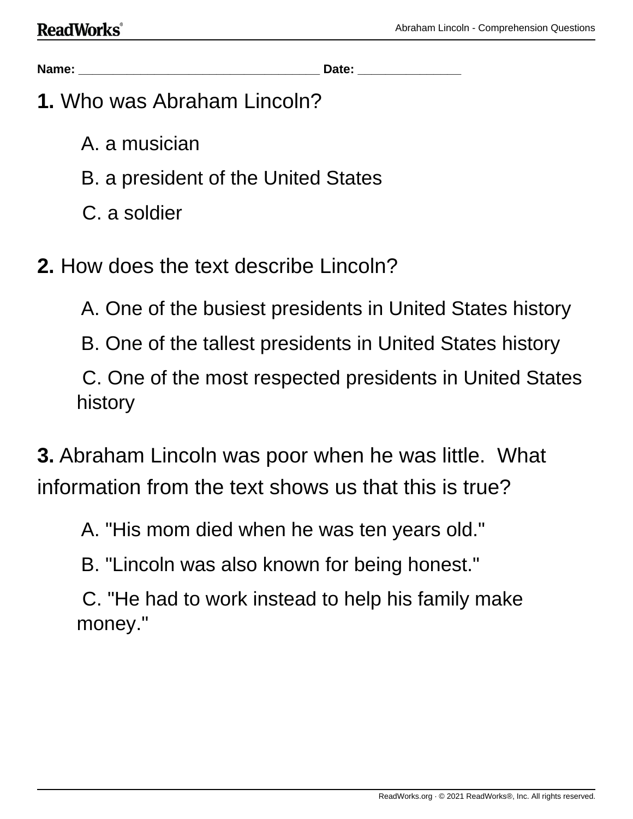**Name: \_\_\_\_\_\_\_\_\_\_\_\_\_\_\_\_\_\_\_\_\_\_\_\_\_\_\_\_\_\_\_\_\_\_\_ Date: \_\_\_\_\_\_\_\_\_\_\_\_\_\_\_**

- **1.** Who was Abraham Lincoln?
	- A. a musician
	- B. a president of the United States
	- C. a soldier
- **2.** How does the text describe Lincoln?
	- A. One of the busiest presidents in United States history
	- B. One of the tallest presidents in United States history

C. One of the most respected presidents in United States history

**3.** Abraham Lincoln was poor when he was little. What information from the text shows us that this is true?

- A. "His mom died when he was ten years old."
- B. "Lincoln was also known for being honest."
- C. "He had to work instead to help his family make money."